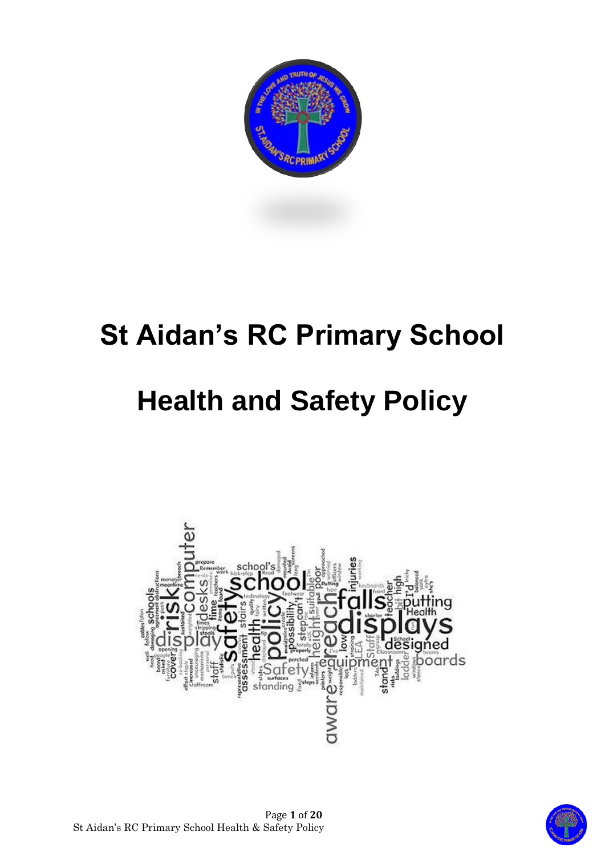

# **St Aidan's RC Primary School**

# **Health and Safety Policy**





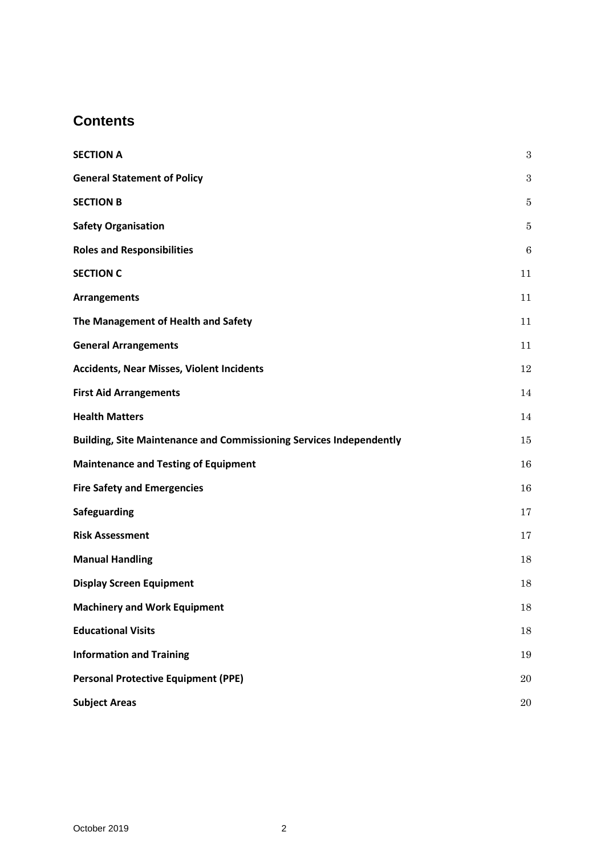# **Contents**

| <b>SECTION A</b>                                                           | $\sqrt{3}$ |
|----------------------------------------------------------------------------|------------|
| <b>General Statement of Policy</b>                                         | $\sqrt{3}$ |
| <b>SECTION B</b>                                                           | 5          |
| <b>Safety Organisation</b>                                                 | 5          |
| <b>Roles and Responsibilities</b>                                          | 6          |
| <b>SECTION C</b>                                                           | 11         |
| <b>Arrangements</b>                                                        | 11         |
| The Management of Health and Safety                                        | 11         |
| <b>General Arrangements</b>                                                | 11         |
| <b>Accidents, Near Misses, Violent Incidents</b>                           | 12         |
| <b>First Aid Arrangements</b>                                              | 14         |
| <b>Health Matters</b>                                                      | 14         |
| <b>Building, Site Maintenance and Commissioning Services Independently</b> | 15         |
| <b>Maintenance and Testing of Equipment</b>                                | 16         |
| <b>Fire Safety and Emergencies</b>                                         | 16         |
| Safeguarding                                                               | 17         |
| <b>Risk Assessment</b>                                                     | 17         |
| <b>Manual Handling</b>                                                     | 18         |
| <b>Display Screen Equipment</b>                                            | 18         |
| <b>Machinery and Work Equipment</b>                                        | $18\,$     |
| <b>Educational Visits</b>                                                  | 18         |
| <b>Information and Training</b>                                            | 19         |
| <b>Personal Protective Equipment (PPE)</b>                                 | 20         |
| <b>Subject Areas</b>                                                       | $20\,$     |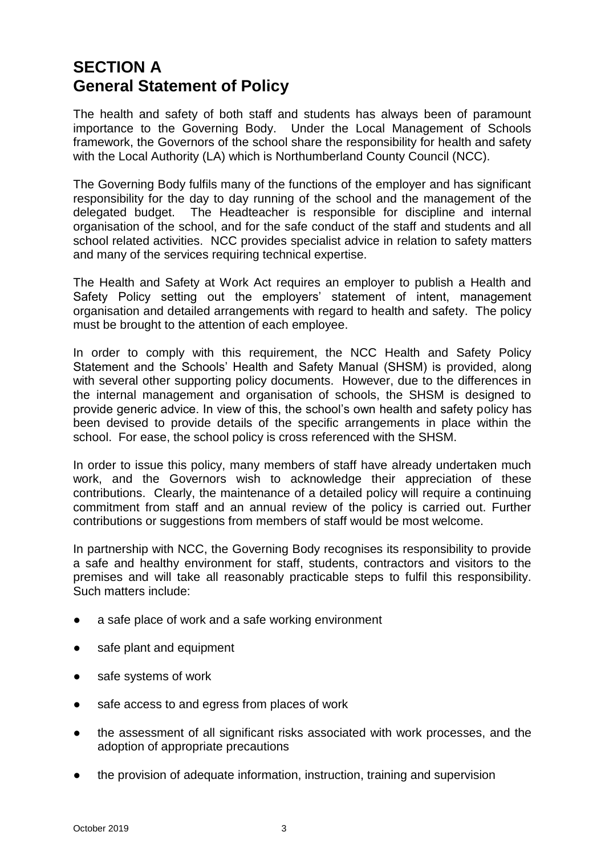# <span id="page-2-1"></span><span id="page-2-0"></span>**SECTION A General Statement of Policy**

The health and safety of both staff and students has always been of paramount importance to the Governing Body. Under the Local Management of Schools framework, the Governors of the school share the responsibility for health and safety with the Local Authority (LA) which is Northumberland County Council (NCC).

The Governing Body fulfils many of the functions of the employer and has significant responsibility for the day to day running of the school and the management of the delegated budget. The Headteacher is responsible for discipline and internal organisation of the school, and for the safe conduct of the staff and students and all school related activities. NCC provides specialist advice in relation to safety matters and many of the services requiring technical expertise.

The Health and Safety at Work Act requires an employer to publish a Health and Safety Policy setting out the employers' statement of intent, management organisation and detailed arrangements with regard to health and safety. The policy must be brought to the attention of each employee.

In order to comply with this requirement, the NCC Health and Safety Policy Statement and the Schools' Health and Safety Manual (SHSM) is provided, along with several other supporting policy documents. However, due to the differences in the internal management and organisation of schools, the SHSM is designed to provide generic advice. In view of this, the school's own health and safety policy has been devised to provide details of the specific arrangements in place within the school. For ease, the school policy is cross referenced with the SHSM.

In order to issue this policy, many members of staff have already undertaken much work, and the Governors wish to acknowledge their appreciation of these contributions. Clearly, the maintenance of a detailed policy will require a continuing commitment from staff and an annual review of the policy is carried out. Further contributions or suggestions from members of staff would be most welcome.

In partnership with NCC, the Governing Body recognises its responsibility to provide a safe and healthy environment for staff, students, contractors and visitors to the premises and will take all reasonably practicable steps to fulfil this responsibility. Such matters include:

- a safe place of work and a safe working environment
- safe plant and equipment
- safe systems of work
- safe access to and egress from places of work
- the assessment of all significant risks associated with work processes, and the adoption of appropriate precautions
- the provision of adequate information, instruction, training and supervision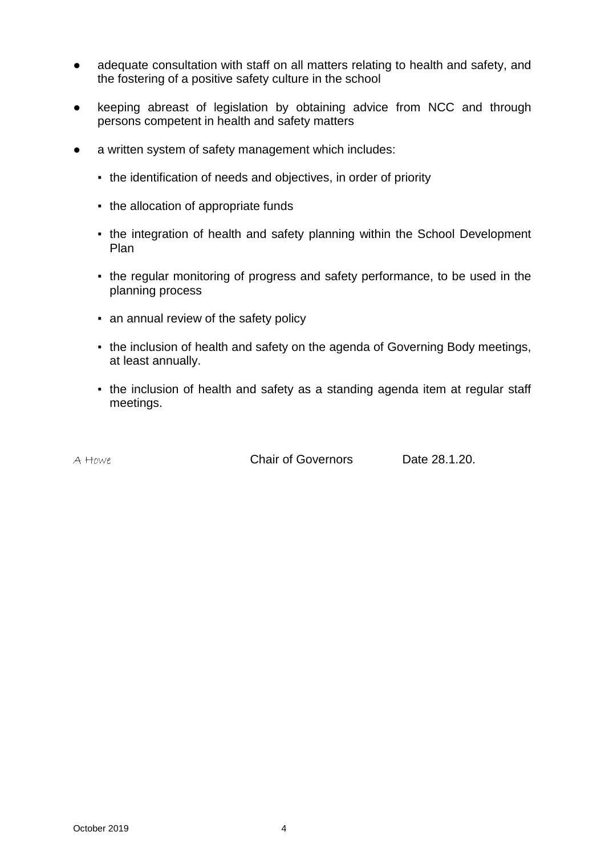- adequate consultation with staff on all matters relating to health and safety, and the fostering of a positive safety culture in the school
- keeping abreast of legislation by obtaining advice from NCC and through persons competent in health and safety matters
- a written system of safety management which includes:
	- the identification of needs and objectives, in order of priority
	- the allocation of appropriate funds
	- the integration of health and safety planning within the School Development Plan
	- the regular monitoring of progress and safety performance, to be used in the planning process
	- an annual review of the safety policy
	- the inclusion of health and safety on the agenda of Governing Body meetings, at least annually.
	- the inclusion of health and safety as a standing agenda item at regular staff meetings.

A Howe Chair of Governors Date 28.1.20.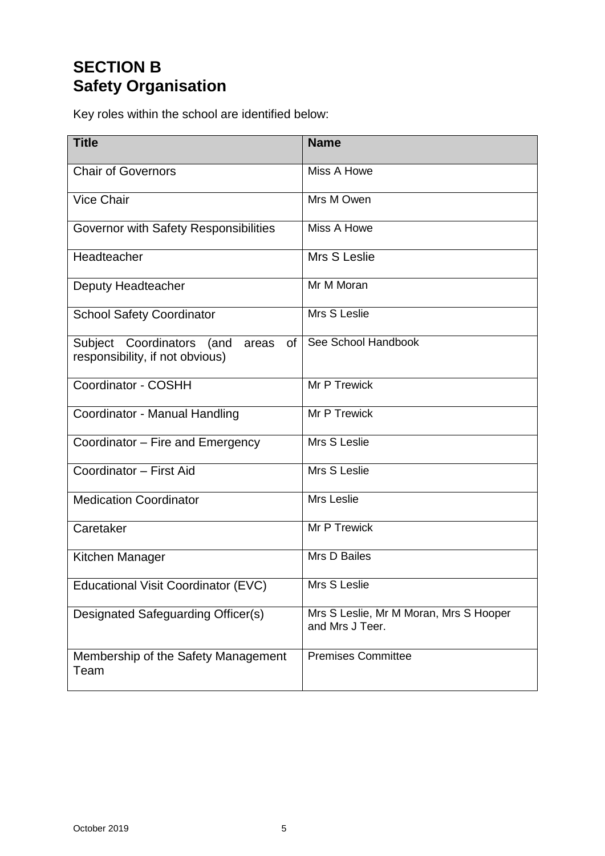# <span id="page-4-1"></span><span id="page-4-0"></span>**SECTION B Safety Organisation**

Key roles within the school are identified below:

| <b>Title</b>                                                                | <b>Name</b>                                               |
|-----------------------------------------------------------------------------|-----------------------------------------------------------|
| <b>Chair of Governors</b>                                                   | Miss A Howe                                               |
| <b>Vice Chair</b>                                                           | Mrs M Owen                                                |
| Governor with Safety Responsibilities                                       | Miss A Howe                                               |
| Headteacher                                                                 | Mrs S Leslie                                              |
| Deputy Headteacher                                                          | Mr M Moran                                                |
| <b>School Safety Coordinator</b>                                            | Mrs S Leslie                                              |
| Subject Coordinators (and<br>of<br>areas<br>responsibility, if not obvious) | See School Handbook                                       |
| Coordinator - COSHH                                                         | Mr P Trewick                                              |
| Coordinator - Manual Handling                                               | Mr P Trewick                                              |
| Coordinator – Fire and Emergency                                            | Mrs S Leslie                                              |
| Coordinator - First Aid                                                     | Mrs S Leslie                                              |
| <b>Medication Coordinator</b>                                               | Mrs Leslie                                                |
| Caretaker                                                                   | Mr P Trewick                                              |
| Kitchen Manager                                                             | Mrs D Bailes                                              |
| Educational Visit Coordinator (EVC)                                         | Mrs S Leslie                                              |
| Designated Safeguarding Officer(s)                                          | Mrs S Leslie, Mr M Moran, Mrs S Hooper<br>and Mrs J Teer. |
| Membership of the Safety Management<br>Team                                 | <b>Premises Committee</b>                                 |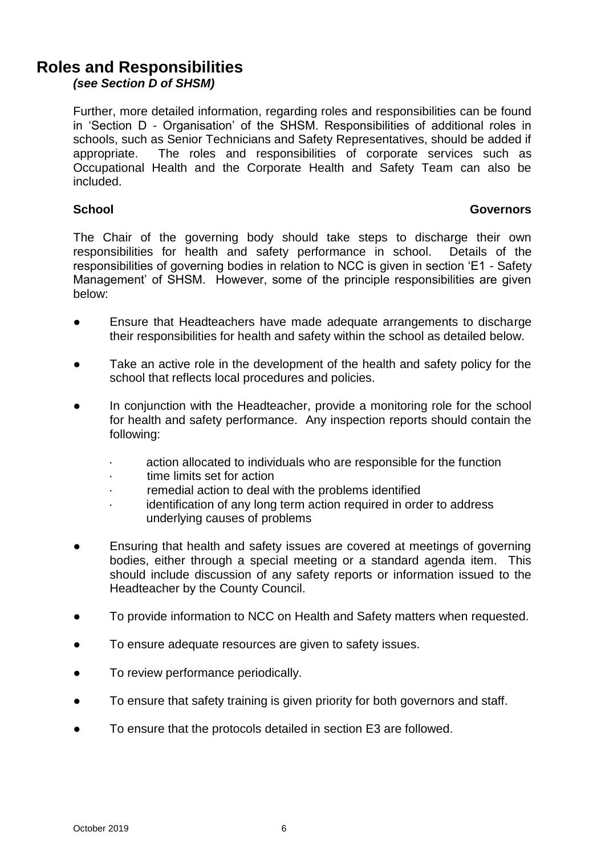## <span id="page-5-0"></span>**Roles and Responsibilities**

*(see Section D of SHSM)*

Further, more detailed information, regarding roles and responsibilities can be found in 'Section D - Organisation' of the SHSM. Responsibilities of additional roles in schools, such as Senior Technicians and Safety Representatives, should be added if appropriate. The roles and responsibilities of corporate services such as Occupational Health and the Corporate Health and Safety Team can also be included.

#### **School Governors**

The Chair of the governing body should take steps to discharge their own responsibilities for health and safety performance in school. Details of the responsibilities of governing bodies in relation to NCC is given in section 'E1 - Safety Management' of SHSM. However, some of the principle responsibilities are given below:

- Ensure that Headteachers have made adequate arrangements to discharge their responsibilities for health and safety within the school as detailed below.
- Take an active role in the development of the health and safety policy for the school that reflects local procedures and policies.
- In conjunction with the Headteacher, provide a monitoring role for the school for health and safety performance. Any inspection reports should contain the following:
	- action allocated to individuals who are responsible for the function
	- · time limits set for action
	- remedial action to deal with the problems identified
	- · identification of any long term action required in order to address underlying causes of problems
- Ensuring that health and safety issues are covered at meetings of governing bodies, either through a special meeting or a standard agenda item. This should include discussion of any safety reports or information issued to the Headteacher by the County Council.
- To provide information to NCC on Health and Safety matters when requested.
- To ensure adequate resources are given to safety issues.
- To review performance periodically.
- To ensure that safety training is given priority for both governors and staff.
- To ensure that the protocols detailed in section E3 are followed.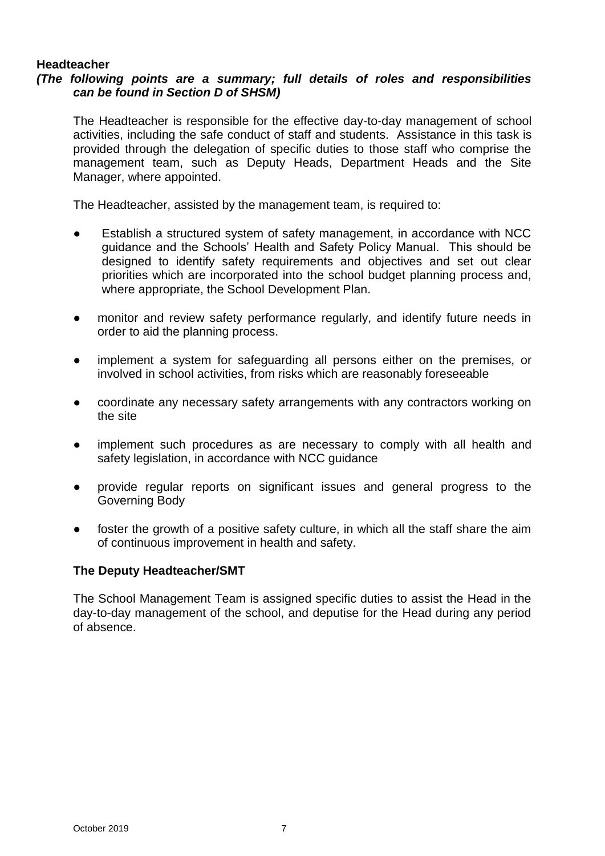#### **Headteacher**

#### *(The following points are a summary; full details of roles and responsibilities can be found in Section D of SHSM)*

The Headteacher is responsible for the effective day-to-day management of school activities, including the safe conduct of staff and students. Assistance in this task is provided through the delegation of specific duties to those staff who comprise the management team, such as Deputy Heads, Department Heads and the Site Manager, where appointed.

The Headteacher, assisted by the management team, is required to:

- Establish a structured system of safety management, in accordance with NCC guidance and the Schools' Health and Safety Policy Manual. This should be designed to identify safety requirements and objectives and set out clear priorities which are incorporated into the school budget planning process and, where appropriate, the School Development Plan.
- monitor and review safety performance regularly, and identify future needs in order to aid the planning process.
- implement a system for safeguarding all persons either on the premises, or involved in school activities, from risks which are reasonably foreseeable
- coordinate any necessary safety arrangements with any contractors working on the site
- implement such procedures as are necessary to comply with all health and safety legislation, in accordance with NCC guidance
- provide regular reports on significant issues and general progress to the Governing Body
- foster the growth of a positive safety culture, in which all the staff share the aim of continuous improvement in health and safety.

#### **The Deputy Headteacher/SMT**

The School Management Team is assigned specific duties to assist the Head in the day-to-day management of the school, and deputise for the Head during any period of absence.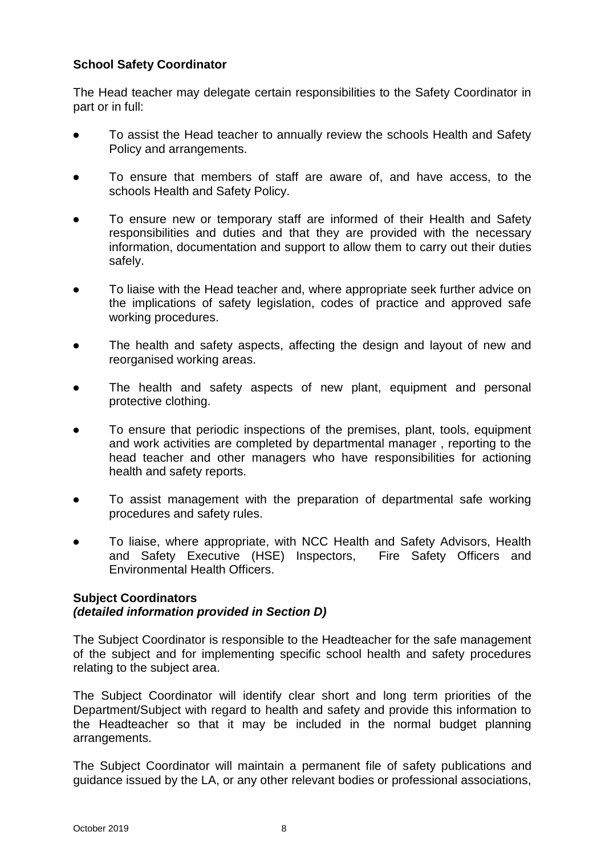#### **School Safety Coordinator**

The Head teacher may delegate certain responsibilities to the Safety Coordinator in part or in full:

- To assist the Head teacher to annually review the schools Health and Safety Policy and arrangements.
- To ensure that members of staff are aware of, and have access, to the schools Health and Safety Policy.
- To ensure new or temporary staff are informed of their Health and Safety responsibilities and duties and that they are provided with the necessary information, documentation and support to allow them to carry out their duties safely.
- To liaise with the Head teacher and, where appropriate seek further advice on the implications of safety legislation, codes of practice and approved safe working procedures.
- The health and safety aspects, affecting the design and layout of new and reorganised working areas.
- The health and safety aspects of new plant, equipment and personal protective clothing.
- To ensure that periodic inspections of the premises, plant, tools, equipment and work activities are completed by departmental manager , reporting to the head teacher and other managers who have responsibilities for actioning health and safety reports.
- To assist management with the preparation of departmental safe working procedures and safety rules.
- To liaise, where appropriate, with NCC Health and Safety Advisors, Health and Safety Executive (HSE) Inspectors, Fire Safety Officers and Environmental Health Officers.

#### **Subject Coordinators** *(detailed information provided in Section D)*

The Subject Coordinator is responsible to the Headteacher for the safe management of the subject and for implementing specific school health and safety procedures relating to the subject area.

The Subject Coordinator will identify clear short and long term priorities of the Department/Subject with regard to health and safety and provide this information to the Headteacher so that it may be included in the normal budget planning arrangements.

The Subject Coordinator will maintain a permanent file of safety publications and guidance issued by the LA, or any other relevant bodies or professional associations,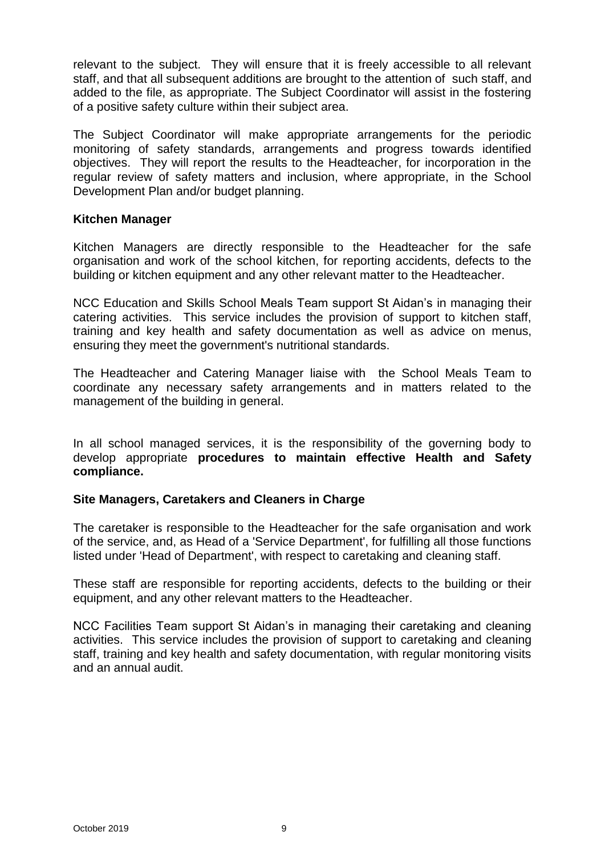relevant to the subject. They will ensure that it is freely accessible to all relevant staff, and that all subsequent additions are brought to the attention of such staff, and added to the file, as appropriate. The Subject Coordinator will assist in the fostering of a positive safety culture within their subject area.

The Subject Coordinator will make appropriate arrangements for the periodic monitoring of safety standards, arrangements and progress towards identified objectives. They will report the results to the Headteacher, for incorporation in the regular review of safety matters and inclusion, where appropriate, in the School Development Plan and/or budget planning.

#### **Kitchen Manager**

Kitchen Managers are directly responsible to the Headteacher for the safe organisation and work of the school kitchen, for reporting accidents, defects to the building or kitchen equipment and any other relevant matter to the Headteacher.

NCC Education and Skills School Meals Team support St Aidan's in managing their catering activities. This service includes the provision of support to kitchen staff, training and key health and safety documentation as well as advice on menus, ensuring they meet the government's nutritional standards.

The Headteacher and Catering Manager liaise with the School Meals Team to coordinate any necessary safety arrangements and in matters related to the management of the building in general.

In all school managed services, it is the responsibility of the governing body to develop appropriate **procedures to maintain effective Health and Safety compliance.**

#### **Site Managers, Caretakers and Cleaners in Charge**

The caretaker is responsible to the Headteacher for the safe organisation and work of the service, and, as Head of a 'Service Department', for fulfilling all those functions listed under 'Head of Department', with respect to caretaking and cleaning staff.

These staff are responsible for reporting accidents, defects to the building or their equipment, and any other relevant matters to the Headteacher.

NCC Facilities Team support St Aidan's in managing their caretaking and cleaning activities. This service includes the provision of support to caretaking and cleaning staff, training and key health and safety documentation, with regular monitoring visits and an annual audit.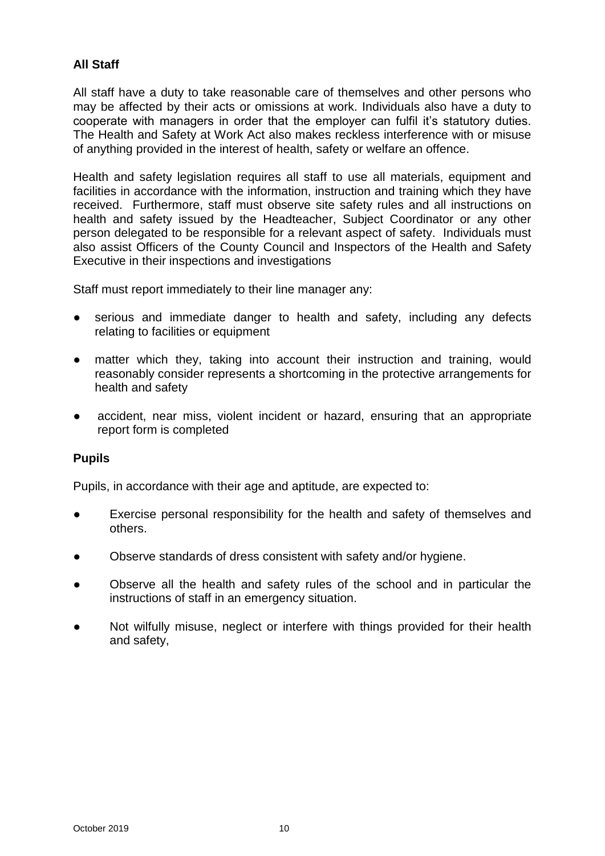#### **All Staff**

All staff have a duty to take reasonable care of themselves and other persons who may be affected by their acts or omissions at work. Individuals also have a duty to cooperate with managers in order that the employer can fulfil it's statutory duties. The Health and Safety at Work Act also makes reckless interference with or misuse of anything provided in the interest of health, safety or welfare an offence.

Health and safety legislation requires all staff to use all materials, equipment and facilities in accordance with the information, instruction and training which they have received. Furthermore, staff must observe site safety rules and all instructions on health and safety issued by the Headteacher, Subject Coordinator or any other person delegated to be responsible for a relevant aspect of safety. Individuals must also assist Officers of the County Council and Inspectors of the Health and Safety Executive in their inspections and investigations

Staff must report immediately to their line manager any:

- serious and immediate danger to health and safety, including any defects relating to facilities or equipment
- matter which they, taking into account their instruction and training, would reasonably consider represents a shortcoming in the protective arrangements for health and safety
- accident, near miss, violent incident or hazard, ensuring that an appropriate report form is completed

#### **Pupils**

Pupils, in accordance with their age and aptitude, are expected to:

- Exercise personal responsibility for the health and safety of themselves and others.
- Observe standards of dress consistent with safety and/or hygiene.
- Observe all the health and safety rules of the school and in particular the instructions of staff in an emergency situation.
- Not wilfully misuse, neglect or interfere with things provided for their health and safety,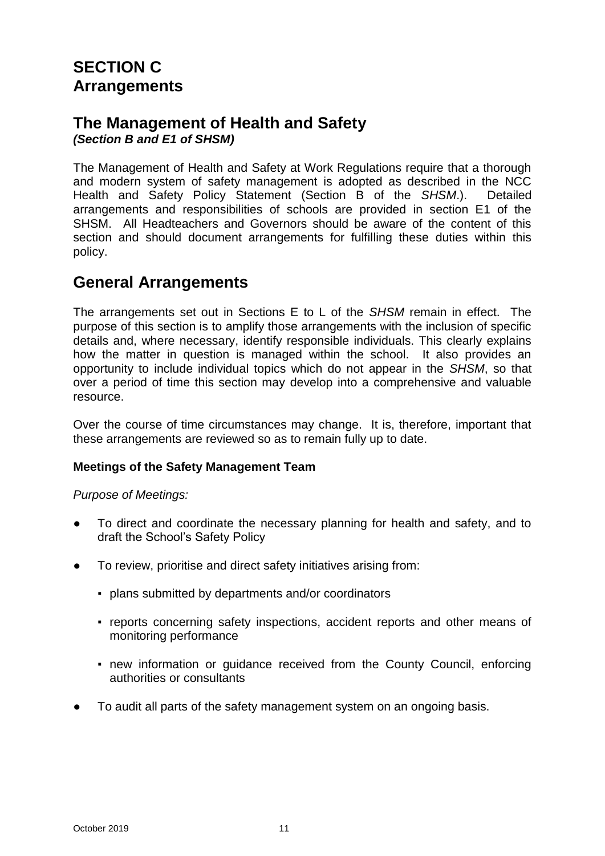# <span id="page-10-1"></span><span id="page-10-0"></span>**SECTION C Arrangements**

#### <span id="page-10-2"></span>**The Management of Health and Safety** *(Section B and E1 of SHSM)*

The Management of Health and Safety at Work Regulations require that a thorough and modern system of safety management is adopted as described in the NCC Health and Safety Policy Statement (Section B of the *SHSM*.). Detailed arrangements and responsibilities of schools are provided in section E1 of the SHSM. All Headteachers and Governors should be aware of the content of this section and should document arrangements for fulfilling these duties within this policy.

### <span id="page-10-3"></span>**General Arrangements**

The arrangements set out in Sections E to L of the *SHSM* remain in effect. The purpose of this section is to amplify those arrangements with the inclusion of specific details and, where necessary, identify responsible individuals. This clearly explains how the matter in question is managed within the school. It also provides an opportunity to include individual topics which do not appear in the *SHSM*, so that over a period of time this section may develop into a comprehensive and valuable resource.

Over the course of time circumstances may change. It is, therefore, important that these arrangements are reviewed so as to remain fully up to date.

#### **Meetings of the Safety Management Team**

*Purpose of Meetings:*

- To direct and coordinate the necessary planning for health and safety, and to draft the School's Safety Policy
- To review, prioritise and direct safety initiatives arising from:
	- plans submitted by departments and/or coordinators
	- reports concerning safety inspections, accident reports and other means of monitoring performance
	- new information or guidance received from the County Council, enforcing authorities or consultants
- To audit all parts of the safety management system on an ongoing basis.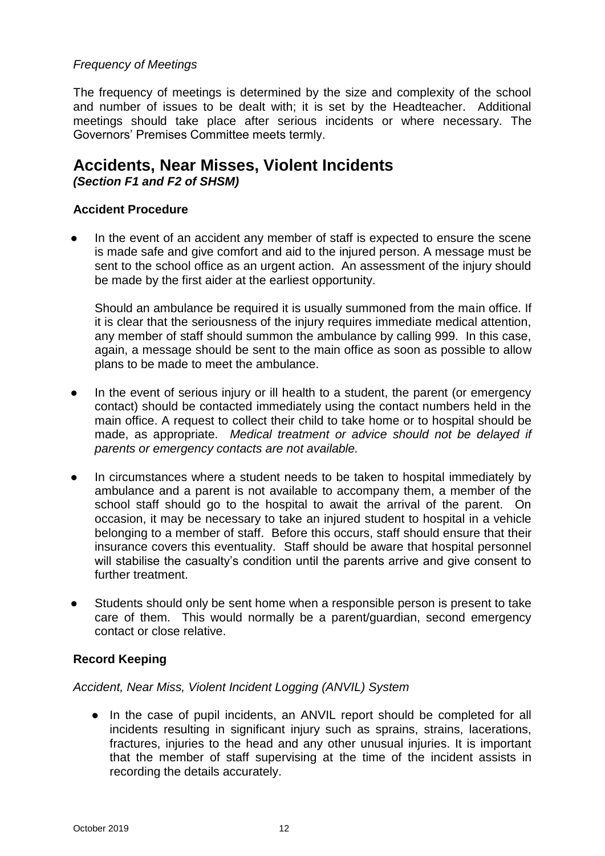#### *Frequency of Meetings*

The frequency of meetings is determined by the size and complexity of the school and number of issues to be dealt with; it is set by the Headteacher. Additional meetings should take place after serious incidents or where necessary. The Governors' Premises Committee meets termly.

# <span id="page-11-0"></span>**Accidents, Near Misses, Violent Incidents**

*(Section F1 and F2 of SHSM)*

#### **Accident Procedure**

In the event of an accident any member of staff is expected to ensure the scene is made safe and give comfort and aid to the injured person. A message must be sent to the school office as an urgent action. An assessment of the injury should be made by the first aider at the earliest opportunity.

Should an ambulance be required it is usually summoned from the main office. If it is clear that the seriousness of the injury requires immediate medical attention, any member of staff should summon the ambulance by calling 999. In this case, again, a message should be sent to the main office as soon as possible to allow plans to be made to meet the ambulance.

- In the event of serious injury or ill health to a student, the parent (or emergency contact) should be contacted immediately using the contact numbers held in the main office. A request to collect their child to take home or to hospital should be made, as appropriate. *Medical treatment or advice should not be delayed if parents or emergency contacts are not available.*
- In circumstances where a student needs to be taken to hospital immediately by ambulance and a parent is not available to accompany them, a member of the school staff should go to the hospital to await the arrival of the parent. On occasion, it may be necessary to take an injured student to hospital in a vehicle belonging to a member of staff. Before this occurs, staff should ensure that their insurance covers this eventuality. Staff should be aware that hospital personnel will stabilise the casualty's condition until the parents arrive and give consent to further treatment.
- Students should only be sent home when a responsible person is present to take care of them. This would normally be a parent/guardian, second emergency contact or close relative.

#### **Record Keeping**

#### *Accident, Near Miss, Violent Incident Logging (ANVIL) System*

• In the case of pupil incidents, an ANVIL report should be completed for all incidents resulting in significant injury such as sprains, strains, lacerations, fractures, injuries to the head and any other unusual injuries. It is important that the member of staff supervising at the time of the incident assists in recording the details accurately.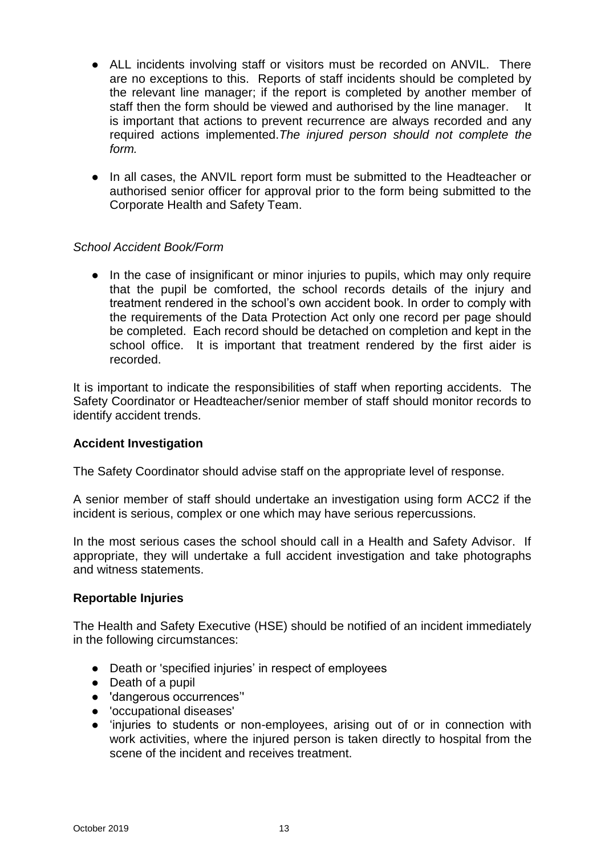- ALL incidents involving staff or visitors must be recorded on ANVIL. There are no exceptions to this. Reports of staff incidents should be completed by the relevant line manager; if the report is completed by another member of staff then the form should be viewed and authorised by the line manager. It is important that actions to prevent recurrence are always recorded and any required actions implemented.*The injured person should not complete the form.*
- In all cases, the ANVIL report form must be submitted to the Headteacher or authorised senior officer for approval prior to the form being submitted to the Corporate Health and Safety Team.

#### *School Accident Book/Form*

● In the case of insignificant or minor injuries to pupils, which may only require that the pupil be comforted, the school records details of the injury and treatment rendered in the school's own accident book. In order to comply with the requirements of the Data Protection Act only one record per page should be completed. Each record should be detached on completion and kept in the school office. It is important that treatment rendered by the first aider is recorded.

It is important to indicate the responsibilities of staff when reporting accidents. The Safety Coordinator or Headteacher/senior member of staff should monitor records to identify accident trends.

#### **Accident Investigation**

The Safety Coordinator should advise staff on the appropriate level of response.

A senior member of staff should undertake an investigation using form ACC2 if the incident is serious, complex or one which may have serious repercussions.

In the most serious cases the school should call in a Health and Safety Advisor. If appropriate, they will undertake a full accident investigation and take photographs and witness statements.

#### **Reportable Injuries**

The Health and Safety Executive (HSE) should be notified of an incident immediately in the following circumstances:

- Death or 'specified injuries' in respect of employees
- Death of a pupil
- 'dangerous occurrences''
- 'occupational diseases'
- 'injuries to students or non-employees, arising out of or in connection with work activities, where the injured person is taken directly to hospital from the scene of the incident and receives treatment.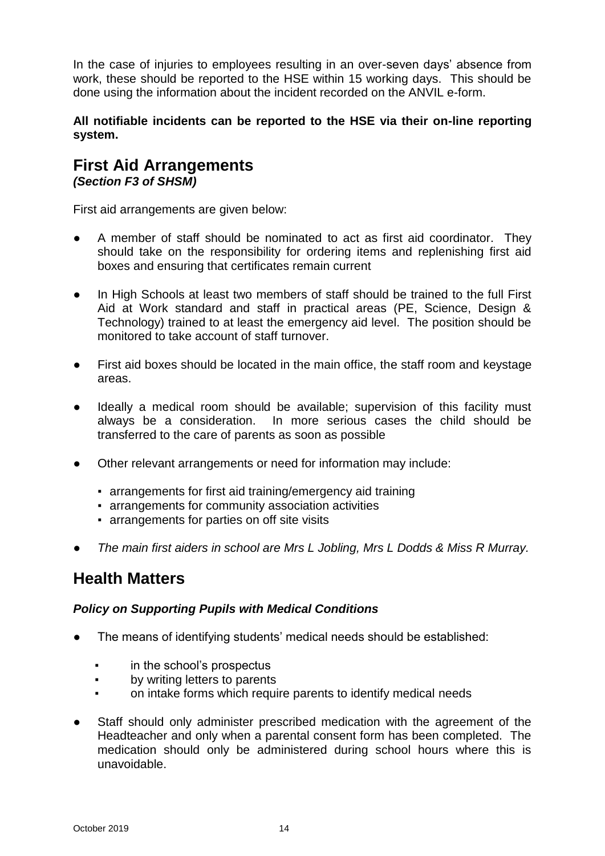In the case of injuries to employees resulting in an over-seven days' absence from work, these should be reported to the HSE within 15 working days. This should be done using the information about the incident recorded on the ANVIL e-form.

#### **All notifiable incidents can be reported to the HSE via their on-line reporting system.**

#### <span id="page-13-0"></span>**First Aid Arrangements** *(Section F3 of SHSM)*

First aid arrangements are given below:

- A member of staff should be nominated to act as first aid coordinator. They should take on the responsibility for ordering items and replenishing first aid boxes and ensuring that certificates remain current
- In High Schools at least two members of staff should be trained to the full First Aid at Work standard and staff in practical areas (PE, Science, Design & Technology) trained to at least the emergency aid level. The position should be monitored to take account of staff turnover.
- First aid boxes should be located in the main office, the staff room and keystage areas.
- Ideally a medical room should be available; supervision of this facility must always be a consideration. In more serious cases the child should be transferred to the care of parents as soon as possible
- Other relevant arrangements or need for information may include:
	- arrangements for first aid training/emergency aid training
	- **EXECT:** arrangements for community association activities
	- arrangements for parties on off site visits
- *The main first aiders in school are Mrs L Jobling, Mrs L Dodds & Miss R Murray.*

# <span id="page-13-1"></span>**Health Matters**

#### *Policy on Supporting Pupils with Medical Conditions*

- The means of identifying students' medical needs should be established:
	- in the school's prospectus
	- by writing letters to parents
	- on intake forms which require parents to identify medical needs
- Staff should only administer prescribed medication with the agreement of the Headteacher and only when a parental consent form has been completed. The medication should only be administered during school hours where this is unavoidable.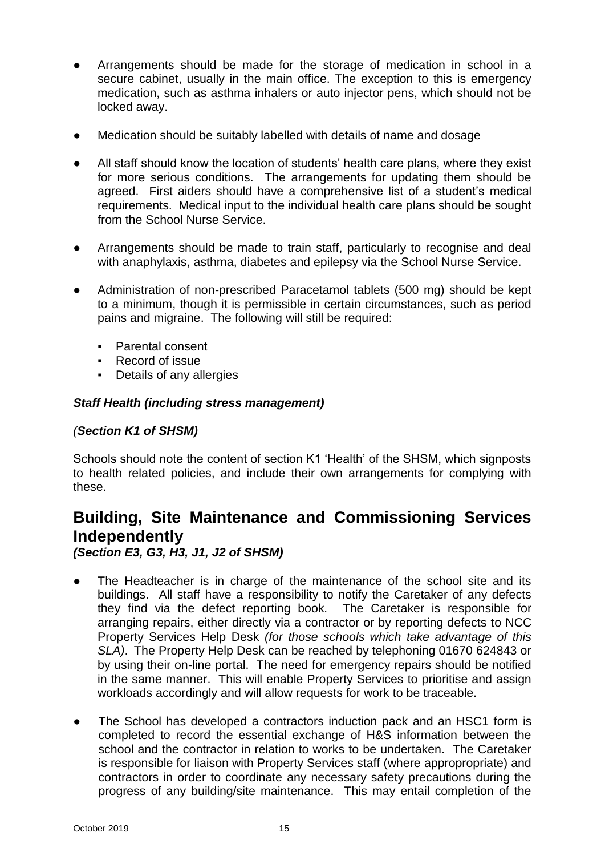- Arrangements should be made for the storage of medication in school in a secure cabinet, usually in the main office. The exception to this is emergency medication, such as asthma inhalers or auto injector pens, which should not be locked away.
- Medication should be suitably labelled with details of name and dosage
- All staff should know the location of students' health care plans, where they exist for more serious conditions. The arrangements for updating them should be agreed. First aiders should have a comprehensive list of a student's medical requirements. Medical input to the individual health care plans should be sought from the School Nurse Service.
- Arrangements should be made to train staff, particularly to recognise and deal with anaphylaxis, asthma, diabetes and epilepsy via the School Nurse Service.
- Administration of non-prescribed Paracetamol tablets (500 mg) should be kept to a minimum, though it is permissible in certain circumstances, such as period pains and migraine. The following will still be required:
	- Parental consent
	- Record of issue
	- Details of any allergies

#### *Staff Health (including stress management)*

#### *(Section K1 of SHSM)*

Schools should note the content of section K1 'Health' of the SHSM, which signposts to health related policies, and include their own arrangements for complying with these.

# <span id="page-14-0"></span>**Building, Site Maintenance and Commissioning Services Independently**

*(Section E3, G3, H3, J1, J2 of SHSM)*

- The Headteacher is in charge of the maintenance of the school site and its buildings. All staff have a responsibility to notify the Caretaker of any defects they find via the defect reporting book*.* The Caretaker is responsible for arranging repairs, either directly via a contractor or by reporting defects to NCC Property Services Help Desk *(for those schools which take advantage of this SLA)*. The Property Help Desk can be reached by telephoning 01670 624843 or by using their on-line portal. The need for emergency repairs should be notified in the same manner. This will enable Property Services to prioritise and assign workloads accordingly and will allow requests for work to be traceable.
- The School has developed a contractors induction pack and an HSC1 form is completed to record the essential exchange of H&S information between the school and the contractor in relation to works to be undertaken. The Caretaker is responsible for liaison with Property Services staff (where appropropriate) and contractors in order to coordinate any necessary safety precautions during the progress of any building/site maintenance. This may entail completion of the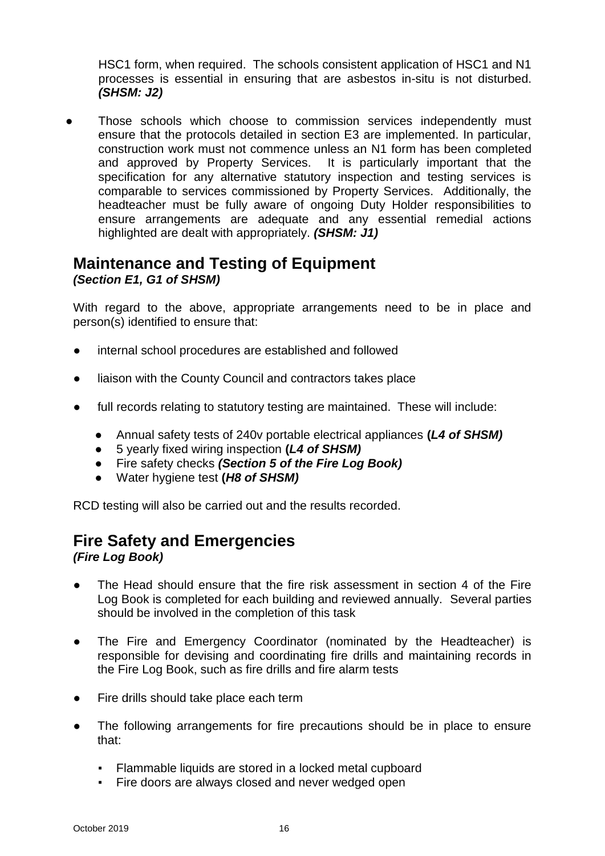HSC1 form, when required. The schools consistent application of HSC1 and N1 processes is essential in ensuring that are asbestos in-situ is not disturbed. *(SHSM: J2)*

Those schools which choose to commission services independently must ensure that the protocols detailed in section E3 are implemented. In particular, construction work must not commence unless an N1 form has been completed and approved by Property Services. It is particularly important that the specification for any alternative statutory inspection and testing services is comparable to services commissioned by Property Services. Additionally, the headteacher must be fully aware of ongoing Duty Holder responsibilities to ensure arrangements are adequate and any essential remedial actions highlighted are dealt with appropriately. *(SHSM: J1)*

#### <span id="page-15-0"></span>**Maintenance and Testing of Equipment** *(Section E1, G1 of SHSM)*

With regard to the above, appropriate arrangements need to be in place and person(s) identified to ensure that:

- internal school procedures are established and followed
- liaison with the County Council and contractors takes place
- full records relating to statutory testing are maintained. These will include:
	- Annual safety tests of 240v portable electrical appliances **(***L4 of SHSM)*
	- 5 yearly fixed wiring inspection **(***L4 of SHSM)*
	- Fire safety checks *(Section 5 of the Fire Log Book)*
	- Water hygiene test **(***H8 of SHSM)*

RCD testing will also be carried out and the results recorded.

# <span id="page-15-1"></span>**Fire Safety and Emergencies**

*(Fire Log Book)*

- The Head should ensure that the fire risk assessment in section 4 of the Fire Log Book is completed for each building and reviewed annually. Several parties should be involved in the completion of this task
- The Fire and Emergency Coordinator (nominated by the Headteacher) is responsible for devising and coordinating fire drills and maintaining records in the Fire Log Book, such as fire drills and fire alarm tests
- Fire drills should take place each term
- The following arrangements for fire precautions should be in place to ensure that:
	- Flammable liquids are stored in a locked metal cupboard
	- Fire doors are always closed and never wedged open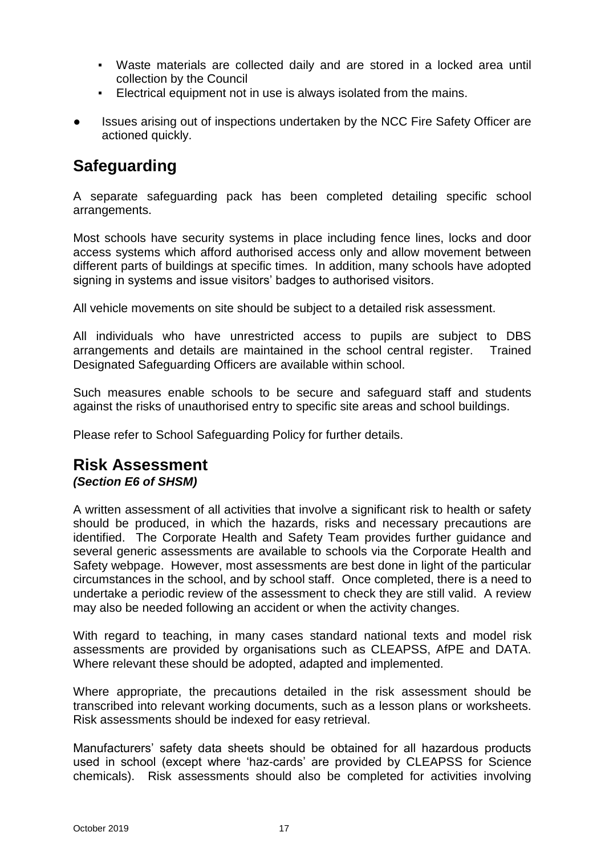- Waste materials are collected daily and are stored in a locked area until collection by the Council
- Electrical equipment not in use is always isolated from the mains.
- Issues arising out of inspections undertaken by the NCC Fire Safety Officer are actioned quickly.

# <span id="page-16-0"></span>**Safeguarding**

A separate safeguarding pack has been completed detailing specific school arrangements.

Most schools have security systems in place including fence lines, locks and door access systems which afford authorised access only and allow movement between different parts of buildings at specific times. In addition, many schools have adopted signing in systems and issue visitors' badges to authorised visitors.

All vehicle movements on site should be subject to a detailed risk assessment.

All individuals who have unrestricted access to pupils are subject to DBS arrangements and details are maintained in the school central register. Trained Designated Safeguarding Officers are available within school.

Such measures enable schools to be secure and safeguard staff and students against the risks of unauthorised entry to specific site areas and school buildings.

Please refer to School Safeguarding Policy for further details.

#### <span id="page-16-1"></span>**Risk Assessment** *(Section E6 of SHSM)*

A written assessment of all activities that involve a significant risk to health or safety should be produced, in which the hazards, risks and necessary precautions are identified. The Corporate Health and Safety Team provides further guidance and several generic assessments are available to schools via the Corporate Health and Safety webpage. However, most assessments are best done in light of the particular circumstances in the school, and by school staff. Once completed, there is a need to undertake a periodic review of the assessment to check they are still valid. A review may also be needed following an accident or when the activity changes.

With regard to teaching, in many cases standard national texts and model risk assessments are provided by organisations such as CLEAPSS, AfPE and DATA. Where relevant these should be adopted, adapted and implemented.

Where appropriate, the precautions detailed in the risk assessment should be transcribed into relevant working documents, such as a lesson plans or worksheets. Risk assessments should be indexed for easy retrieval.

Manufacturers' safety data sheets should be obtained for all hazardous products used in school (except where 'haz-cards' are provided by CLEAPSS for Science chemicals). Risk assessments should also be completed for activities involving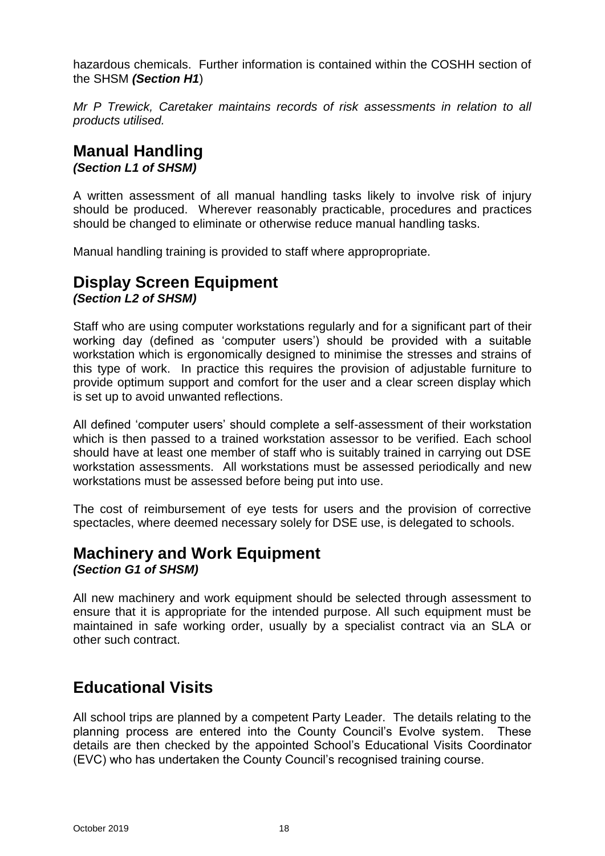hazardous chemicals. Further information is contained within the COSHH section of the SHSM *(Section H1*)

*Mr P Trewick, Caretaker maintains records of risk assessments in relation to all products utilised.*

# <span id="page-17-0"></span>**Manual Handling**

*(Section L1 of SHSM)*

A written assessment of all manual handling tasks likely to involve risk of injury should be produced. Wherever reasonably practicable, procedures and practices should be changed to eliminate or otherwise reduce manual handling tasks.

Manual handling training is provided to staff where appropropriate.

#### <span id="page-17-1"></span>**Display Screen Equipment** *(Section L2 of SHSM)*

Staff who are using computer workstations regularly and for a significant part of their working day (defined as 'computer users') should be provided with a suitable workstation which is ergonomically designed to minimise the stresses and strains of this type of work. In practice this requires the provision of adjustable furniture to provide optimum support and comfort for the user and a clear screen display which is set up to avoid unwanted reflections.

All defined 'computer users' should complete a self-assessment of their workstation which is then passed to a trained workstation assessor to be verified. Each school should have at least one member of staff who is suitably trained in carrying out DSE workstation assessments. All workstations must be assessed periodically and new workstations must be assessed before being put into use.

The cost of reimbursement of eye tests for users and the provision of corrective spectacles, where deemed necessary solely for DSE use, is delegated to schools.

# <span id="page-17-2"></span>**Machinery and Work Equipment**

*(Section G1 of SHSM)*

All new machinery and work equipment should be selected through assessment to ensure that it is appropriate for the intended purpose. All such equipment must be maintained in safe working order, usually by a specialist contract via an SLA or other such contract.

# <span id="page-17-3"></span>**Educational Visits**

All school trips are planned by a competent Party Leader. The details relating to the planning process are entered into the County Council's Evolve system. These details are then checked by the appointed School's Educational Visits Coordinator (EVC) who has undertaken the County Council's recognised training course.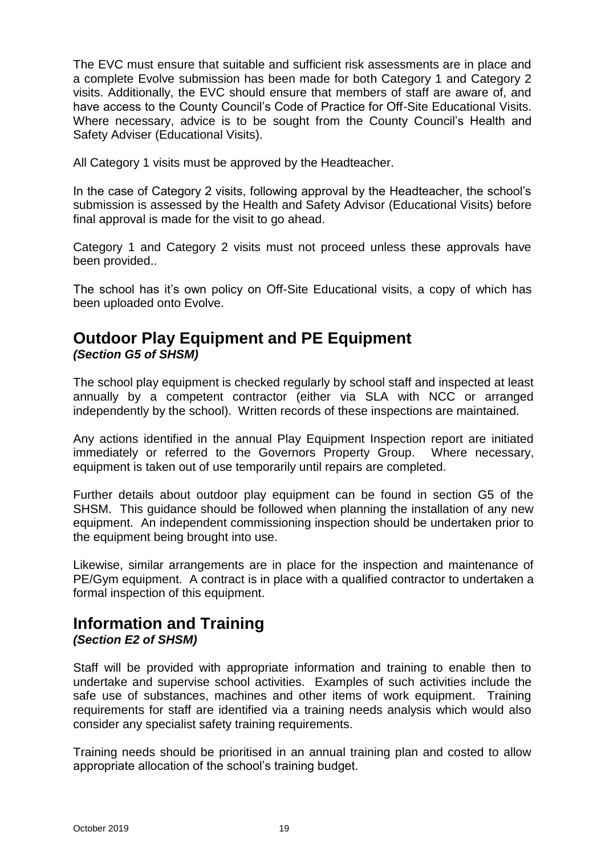The EVC must ensure that suitable and sufficient risk assessments are in place and a complete Evolve submission has been made for both Category 1 and Category 2 visits. Additionally, the EVC should ensure that members of staff are aware of, and have access to the County Council's Code of Practice for Off-Site Educational Visits. Where necessary, advice is to be sought from the County Council's Health and Safety Adviser (Educational Visits).

All Category 1 visits must be approved by the Headteacher.

In the case of Category 2 visits, following approval by the Headteacher, the school's submission is assessed by the Health and Safety Advisor (Educational Visits) before final approval is made for the visit to go ahead.

Category 1 and Category 2 visits must not proceed unless these approvals have been provided..

The school has it's own policy on Off-Site Educational visits, a copy of which has been uploaded onto Evolve.

#### **Outdoor Play Equipment and PE Equipment**  *(Section G5 of SHSM)*

The school play equipment is checked regularly by school staff and inspected at least annually by a competent contractor (either via SLA with NCC or arranged independently by the school). Written records of these inspections are maintained.

Any actions identified in the annual Play Equipment Inspection report are initiated immediately or referred to the Governors Property Group. Where necessary, equipment is taken out of use temporarily until repairs are completed.

Further details about outdoor play equipment can be found in section G5 of the SHSM. This guidance should be followed when planning the installation of any new equipment. An independent commissioning inspection should be undertaken prior to the equipment being brought into use.

Likewise, similar arrangements are in place for the inspection and maintenance of PE/Gym equipment. A contract is in place with a qualified contractor to undertaken a formal inspection of this equipment.

#### <span id="page-18-0"></span>**Information and Training** *(Section E2 of SHSM)*

Staff will be provided with appropriate information and training to enable then to undertake and supervise school activities. Examples of such activities include the safe use of substances, machines and other items of work equipment. Training requirements for staff are identified via a training needs analysis which would also consider any specialist safety training requirements.

Training needs should be prioritised in an annual training plan and costed to allow appropriate allocation of the school's training budget.